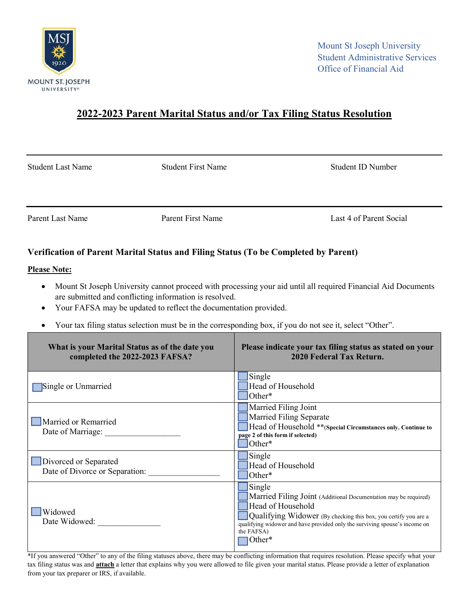

## 2022-2023 Parent Marital Status and/or Tax Filing Status Resolution

Student Last Name Student First Name Student ID Number

Parent Last Name **Parent First Name** Parent First Name **Last 4 of Parent Social** 

## Verification of Parent Marital Status and Filing Status (To be Completed by Parent)

## Please Note:

- Mount St Joseph University cannot proceed with processing your aid until all required Financial Aid Documents are submitted and conflicting information is resolved.
- Your FAFSA may be updated to reflect the documentation provided.
- Your tax filing status selection must be in the corresponding box, if you do not see it, select "Other".

| What is your Marital Status as of the date you<br>completed the 2022-2023 FAFSA? | Please indicate your tax filing status as stated on your<br>2020 Federal Tax Return.                                                                                                                                                                                     |
|----------------------------------------------------------------------------------|--------------------------------------------------------------------------------------------------------------------------------------------------------------------------------------------------------------------------------------------------------------------------|
| Single or Unmarried                                                              | Single<br>Head of Household<br>Other*                                                                                                                                                                                                                                    |
| Married or Remarried<br>Date of Marriage:                                        | Married Filing Joint<br>Married Filing Separate<br>Head of Household **(Special Circumstances only. Continue to<br>page 2 of this form if selected)<br>Other*                                                                                                            |
| Divorced or Separated<br>Date of Divorce or Separation:                          | Single<br>Head of Household<br>Other*                                                                                                                                                                                                                                    |
| Widowed<br>Date Widowed:                                                         | Single<br>Married Filing Joint (Additional Documentation may be required)<br>Head of Household<br>Qualifying Widower (By checking this box, you certify you are a<br>qualifying widower and have provided only the surviving spouse's income on<br>the FAFSA)<br> Other* |

\*If you answered "Other" to any of the filing statuses above, there may be conflicting information that requires resolution. Please specify what your tax filing status was and **attach** a letter that explains why you were allowed to file given your marital status. Please provide a letter of explanation from your tax preparer or IRS, if available.